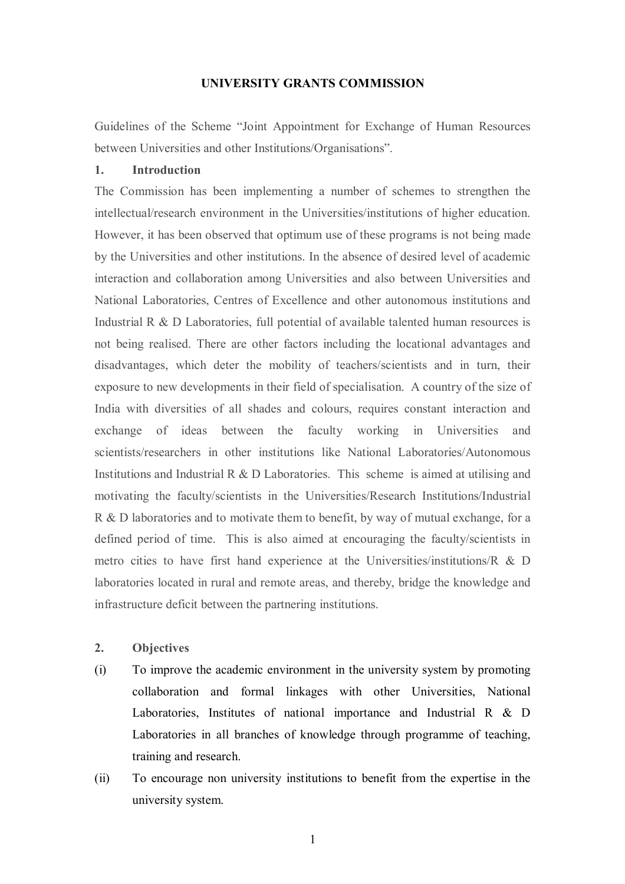### **UNIVERSITY GRANTS COMMISSION**

Guidelines of the Scheme "Joint Appointment for Exchange of Human Resources between Universities and other Institutions/Organisations".

### **1. Introduction**

The Commission has been implementing a number of schemes to strengthen the intellectual/research environment in the Universities/institutions of higher education. However, it has been observed that optimum use of these programs is not being made by the Universities and other institutions. In the absence of desired level of academic interaction and collaboration among Universities and also between Universities and National Laboratories, Centres of Excellence and other autonomous institutions and Industrial R & D Laboratories, full potential of available talented human resources is not being realised. There are other factors including the locational advantages and disadvantages, which deter the mobility of teachers/scientists and in turn, their exposure to new developments in their field of specialisation. A country of the size of India with diversities of all shades and colours, requires constant interaction and exchange of ideas between the faculty working in Universities and scientists/researchers in other institutions like National Laboratories/Autonomous Institutions and Industrial R & D Laboratories. This scheme is aimed at utilising and motivating the faculty/scientists in the Universities/Research Institutions/Industrial R & D laboratories and to motivate them to benefit, by way of mutual exchange, for a defined period of time. This is also aimed at encouraging the faculty/scientists in metro cities to have first hand experience at the Universities/institutions/R & D laboratories located in rural and remote areas, and thereby, bridge the knowledge and infrastructure deficit between the partnering institutions.

### **2. Objectives**

- (i) To improve the academic environment in the university system by promoting collaboration and formal linkages with other Universities, National Laboratories, Institutes of national importance and Industrial R & D Laboratories in all branches of knowledge through programme of teaching, training and research.
- (ii) To encourage non university institutions to benefit from the expertise in the university system.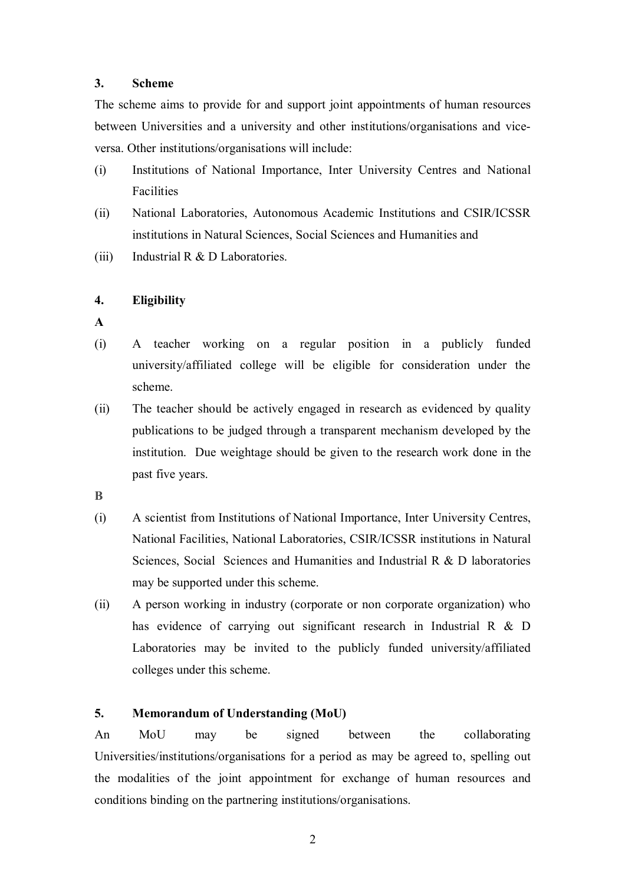## **3. Scheme**

The scheme aims to provide for and support joint appointments of human resources between Universities and a university and other institutions/organisations and viceversa. Other institutions/organisations will include:

- (i) Institutions of National Importance, Inter University Centres and National Facilities
- (ii) National Laboratories, Autonomous Academic Institutions and CSIR/ICSSR institutions in Natural Sciences, Social Sciences and Humanities and
- (iii) Industrial R & D Laboratories.

## **4. Eligibility**

- **A**
- (i) A teacher working on a regular position in a publicly funded university/affiliated college will be eligible for consideration under the scheme.
- (ii) The teacher should be actively engaged in research as evidenced by quality publications to be judged through a transparent mechanism developed by the institution. Due weightage should be given to the research work done in the past five years.
- **B**
- (i) A scientist from Institutions of National Importance, Inter University Centres, National Facilities, National Laboratories, CSIR/ICSSR institutions in Natural Sciences, Social Sciences and Humanities and Industrial R & D laboratories may be supported under this scheme.
- (ii) A person working in industry (corporate or non corporate organization) who has evidence of carrying out significant research in Industrial R & D Laboratories may be invited to the publicly funded university/affiliated colleges under this scheme.

# **5. Memorandum of Understanding (MoU)**

An MoU may be signed between the collaborating Universities/institutions/organisations for a period as may be agreed to, spelling out the modalities of the joint appointment for exchange of human resources and conditions binding on the partnering institutions/organisations.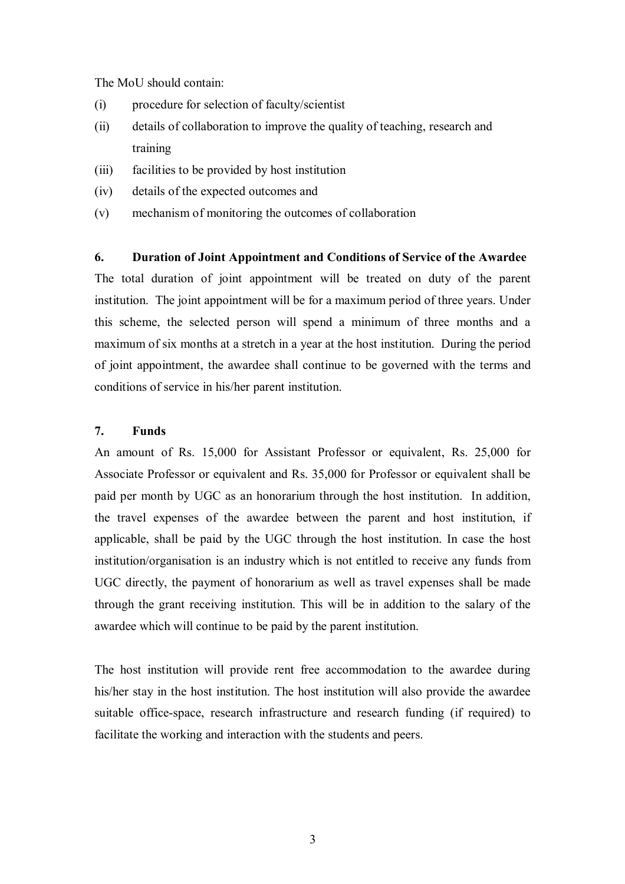The MoU should contain:

- (i) procedure for selection of faculty/scientist
- (ii) details of collaboration to improve the quality of teaching, research and training
- (iii) facilities to be provided by host institution
- (iv) details of the expected outcomes and
- (v) mechanism of monitoring the outcomes of collaboration

## **6. Duration of Joint Appointment and Conditions of Service of the Awardee**

The total duration of joint appointment will be treated on duty of the parent institution. The joint appointment will be for a maximum period of three years. Under this scheme, the selected person will spend a minimum of three months and a maximum of six months at a stretch in a year at the host institution. During the period of joint appointment, the awardee shall continue to be governed with the terms and conditions of service in his/her parent institution.

## **7. Funds**

An amount of Rs. 15,000 for Assistant Professor or equivalent, Rs. 25,000 for Associate Professor or equivalent and Rs. 35,000 for Professor or equivalent shall be paid per month by UGC as an honorarium through the host institution. In addition, the travel expenses of the awardee between the parent and host institution, if applicable, shall be paid by the UGC through the host institution. In case the host institution/organisation is an industry which is not entitled to receive any funds from UGC directly, the payment of honorarium as well as travel expenses shall be made through the grant receiving institution. This will be in addition to the salary of the awardee which will continue to be paid by the parent institution.

The host institution will provide rent free accommodation to the awardee during his/her stay in the host institution. The host institution will also provide the awardee suitable office-space, research infrastructure and research funding (if required) to facilitate the working and interaction with the students and peers.